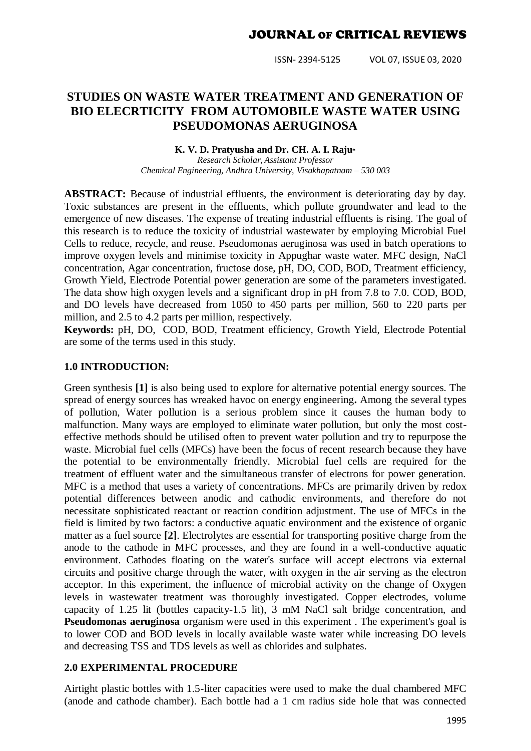ISSN- 2394-5125 VOL 07, ISSUE 03, 2020

# **STUDIES ON WASTE WATER TREATMENT AND GENERATION OF BIO ELECRTICITY FROM AUTOMOBILE WASTE WATER USING PSEUDOMONAS AERUGINOSA**

#### **K. V. D. Pratyusha and Dr. CH. A. I. Raju\***

*Research Scholar, Assistant Professor Chemical Engineering, Andhra University, Visakhapatnam – 530 003*

**ABSTRACT:** Because of industrial effluents, the environment is deteriorating day by day. Toxic substances are present in the effluents, which pollute groundwater and lead to the emergence of new diseases. The expense of treating industrial effluents is rising. The goal of this research is to reduce the toxicity of industrial wastewater by employing Microbial Fuel Cells to reduce, recycle, and reuse. Pseudomonas aeruginosa was used in batch operations to improve oxygen levels and minimise toxicity in Appughar waste water. MFC design, NaCl concentration, Agar concentration, fructose dose, pH, DO, COD, BOD, Treatment efficiency, Growth Yield, Electrode Potential power generation are some of the parameters investigated. The data show high oxygen levels and a significant drop in pH from 7.8 to 7.0. COD, BOD, and DO levels have decreased from 1050 to 450 parts per million, 560 to 220 parts per million, and 2.5 to 4.2 parts per million, respectively.

**Keywords:** pH, DO, COD, BOD, Treatment efficiency, Growth Yield, Electrode Potential are some of the terms used in this study.

#### **1.0 INTRODUCTION:**

Green synthesis **[1]** is also being used to explore for alternative potential energy sources. The spread of energy sources has wreaked havoc on energy engineering**.** Among the several types of pollution, Water pollution is a serious problem since it causes the human body to malfunction. Many ways are employed to eliminate water pollution, but only the most costeffective methods should be utilised often to prevent water pollution and try to repurpose the waste. Microbial fuel cells (MFCs) have been the focus of recent research because they have the potential to be environmentally friendly. Microbial fuel cells are required for the treatment of effluent water and the simultaneous transfer of electrons for power generation. MFC is a method that uses a variety of concentrations. MFCs are primarily driven by redox potential differences between anodic and cathodic environments, and therefore do not necessitate sophisticated reactant or reaction condition adjustment. The use of MFCs in the field is limited by two factors: a conductive aquatic environment and the existence of organic matter as a fuel source **[2]**. Electrolytes are essential for transporting positive charge from the anode to the cathode in MFC processes, and they are found in a well-conductive aquatic environment. Cathodes floating on the water's surface will accept electrons via external circuits and positive charge through the water, with oxygen in the air serving as the electron acceptor. In this experiment, the influence of microbial activity on the change of Oxygen levels in wastewater treatment was thoroughly investigated. Copper electrodes, volume capacity of 1.25 lit (bottles capacity-1.5 lit), 3 mM NaCl salt bridge concentration, and **Pseudomonas aeruginosa** organism were used in this experiment. The experiment's goal is to lower COD and BOD levels in locally available waste water while increasing DO levels and decreasing TSS and TDS levels as well as chlorides and sulphates.

## **2.0 EXPERIMENTAL PROCEDURE**

Airtight plastic bottles with 1.5-liter capacities were used to make the dual chambered MFC (anode and cathode chamber). Each bottle had a 1 cm radius side hole that was connected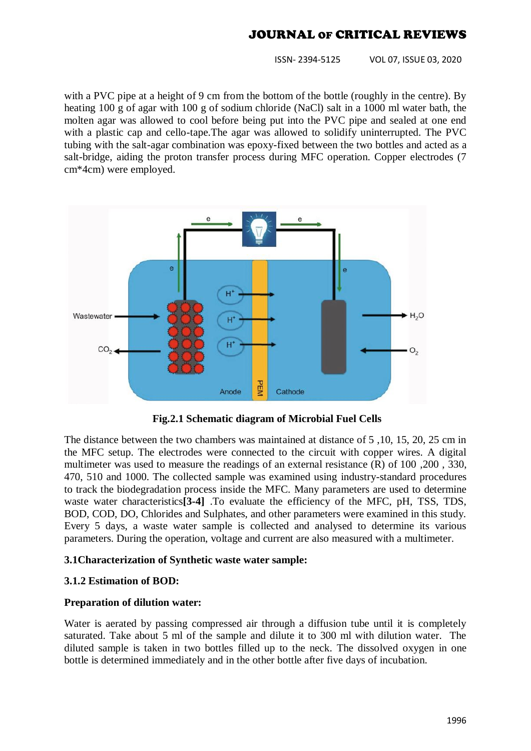ISSN- 2394-5125 VOL 07, ISSUE 03, 2020

with a PVC pipe at a height of 9 cm from the bottom of the bottle (roughly in the centre). By heating 100 g of agar with 100 g of sodium chloride (NaCl) salt in a 1000 ml water bath, the molten agar was allowed to cool before being put into the PVC pipe and sealed at one end with a plastic cap and cello-tape. The agar was allowed to solidify uninterrupted. The PVC tubing with the salt-agar combination was epoxy-fixed between the two bottles and acted as a salt-bridge, aiding the proton transfer process during MFC operation. Copper electrodes (7 cm\*4cm) were employed.



 **Fig.2.1 Schematic diagram of Microbial Fuel Cells**

The distance between the two chambers was maintained at distance of 5 ,10, 15, 20, 25 cm in the MFC setup. The electrodes were connected to the circuit with copper wires. A digital multimeter was used to measure the readings of an external resistance (R) of 100 ,200 , 330, 470, 510 and 1000. The collected sample was examined using industry-standard procedures to track the biodegradation process inside the MFC. Many parameters are used to determine waste water characteristics<sup>[3-4]</sup> .To evaluate the efficiency of the MFC, pH, TSS, TDS, BOD, COD, DO, Chlorides and Sulphates, and other parameters were examined in this study. Every 5 days, a waste water sample is collected and analysed to determine its various parameters. During the operation, voltage and current are also measured with a multimeter.

## **3.1Characterization of Synthetic waste water sample:**

## **3.1.2 Estimation of BOD:**

## **Preparation of dilution water:**

Water is aerated by passing compressed air through a diffusion tube until it is completely saturated. Take about 5 ml of the sample and dilute it to 300 ml with dilution water. The diluted sample is taken in two bottles filled up to the neck. The dissolved oxygen in one bottle is determined immediately and in the other bottle after five days of incubation.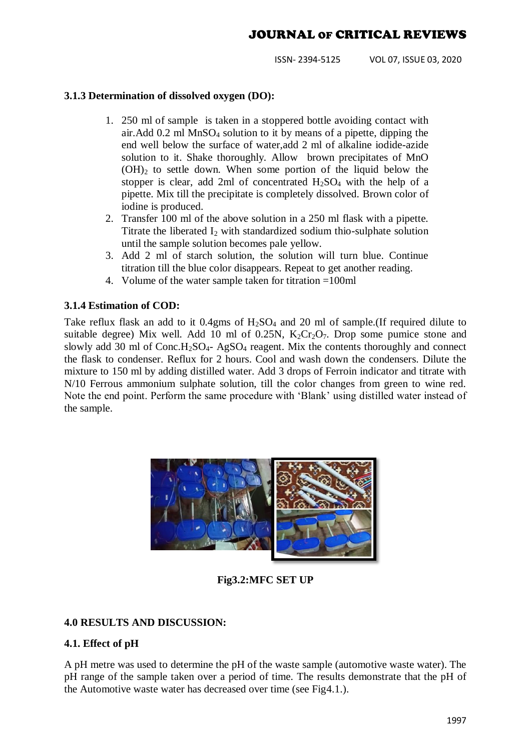ISSN- 2394-5125 VOL 07, ISSUE 03, 2020

### **3.1.3 Determination of dissolved oxygen (DO):**

- 1. 250 ml of sample is taken in a stoppered bottle avoiding contact with air.Add 0.2 ml MnSO<sup>4</sup> solution to it by means of a pipette, dipping the end well below the surface of water,add 2 ml of alkaline iodide-azide solution to it. Shake thoroughly. Allow brown precipitates of MnO  $(OH)_2$  to settle down. When some portion of the liquid below the stopper is clear, add 2ml of concentrated  $H_2SO_4$  with the help of a pipette. Mix till the precipitate is completely dissolved. Brown color of iodine is produced.
- 2. Transfer 100 ml of the above solution in a 250 ml flask with a pipette. Titrate the liberated  $I_2$  with standardized sodium thio-sulphate solution until the sample solution becomes pale yellow.
- 3. Add 2 ml of starch solution, the solution will turn blue. Continue titration till the blue color disappears. Repeat to get another reading.
- 4. Volume of the water sample taken for titration =100ml

#### **3.1.4 Estimation of COD:**

Take reflux flask an add to it  $0.4$ gms of  $H<sub>2</sub>SO<sub>4</sub>$  and 20 ml of sample. (If required dilute to suitable degree) Mix well. Add 10 ml of 0.25N,  $K_2Cr_2O_7$ . Drop some pumice stone and slowly add 30 ml of  $Conc.H<sub>2</sub>SO<sub>4</sub>$ - AgSO<sub>4</sub> reagent. Mix the contents thoroughly and connect the flask to condenser. Reflux for 2 hours. Cool and wash down the condensers. Dilute the mixture to 150 ml by adding distilled water. Add 3 drops of Ferroin indicator and titrate with N/10 Ferrous ammonium sulphate solution, till the color changes from green to wine red. Note the end point. Perform the same procedure with "Blank" using distilled water instead of the sample.



**Fig3.2:MFC SET UP**

## **4.0 RESULTS AND DISCUSSION:**

## **4.1. Effect of pH**

A pH metre was used to determine the pH of the waste sample (automotive waste water). The pH range of the sample taken over a period of time. The results demonstrate that the pH of the Automotive waste water has decreased over time (see Fig4.1.).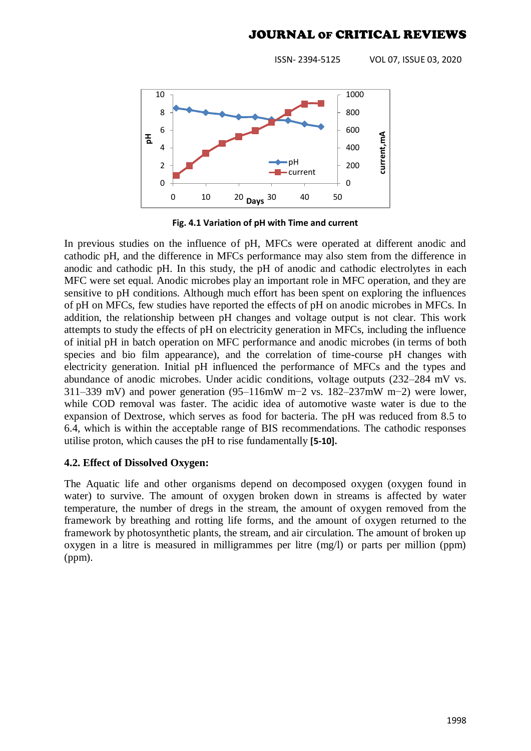ISSN- 2394-5125 VOL 07, ISSUE 03, 2020



**Fig. 4.1 Variation of pH with Time and current**

In previous studies on the influence of pH, MFCs were operated at different anodic and cathodic pH, and the difference in MFCs performance may also stem from the difference in anodic and cathodic pH. In this study, the pH of anodic and cathodic electrolytes in each MFC were set equal. Anodic microbes play an important role in MFC operation, and they are sensitive to pH conditions. Although much effort has been spent on exploring the influences of pH on MFCs, few studies have reported the effects of pH on anodic microbes in MFCs. In addition, the relationship between pH changes and voltage output is not clear. This work attempts to study the effects of pH on electricity generation in MFCs, including the influence of initial pH in batch operation on MFC performance and anodic microbes (in terms of both species and bio film appearance), and the correlation of time-course pH changes with electricity generation. Initial pH influenced the performance of MFCs and the types and abundance of anodic microbes. Under acidic conditions, voltage outputs (232–284 mV vs. 311–339 mV) and power generation (95–116mW m−2 vs. 182–237mW m−2) were lower, while COD removal was faster. The acidic idea of automotive waste water is due to the expansion of Dextrose, which serves as food for bacteria. The pH was reduced from 8.5 to 6.4, which is within the acceptable range of BIS recommendations. The cathodic responses utilise proton, which causes the pH to rise fundamentally **[5-10].**

#### **4.2. Effect of Dissolved Oxygen:**

The Aquatic life and other organisms depend on decomposed oxygen (oxygen found in water) to survive. The amount of oxygen broken down in streams is affected by water temperature, the number of dregs in the stream, the amount of oxygen removed from the framework by breathing and rotting life forms, and the amount of oxygen returned to the framework by photosynthetic plants, the stream, and air circulation. The amount of broken up oxygen in a litre is measured in milligrammes per litre (mg/l) or parts per million (ppm) (ppm).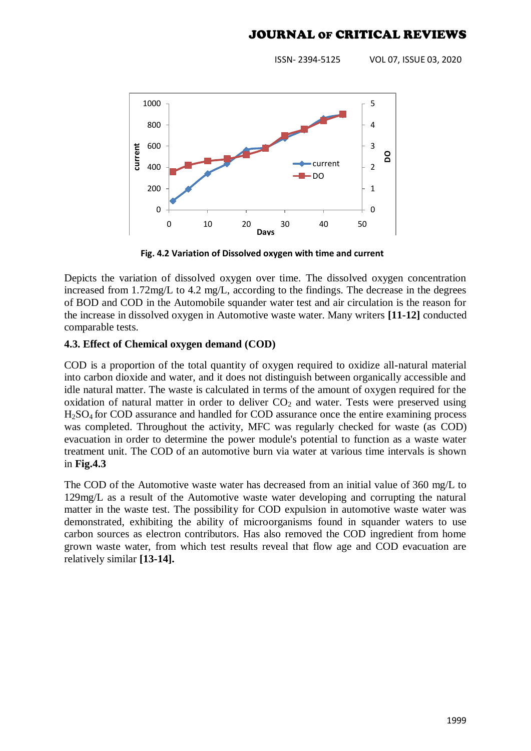ISSN- 2394-5125 VOL 07, ISSUE 03, 2020



**Fig. 4.2 Variation of Dissolved oxygen with time and current**

Depicts the variation of dissolved oxygen over time. The dissolved oxygen concentration increased from 1.72mg/L to 4.2 mg/L, according to the findings. The decrease in the degrees of BOD and COD in the Automobile squander water test and air circulation is the reason for the increase in dissolved oxygen in Automotive waste water. Many writers **[11-12]** conducted comparable tests.

## **4.3. Effect of Chemical oxygen demand (COD)**

COD is a proportion of the total quantity of oxygen required to oxidize all-natural material into carbon dioxide and water, and it does not distinguish between organically accessible and idle natural matter. The waste is calculated in terms of the amount of oxygen required for the oxidation of natural matter in order to deliver  $CO<sub>2</sub>$  and water. Tests were preserved using H2SO4 for COD assurance and handled for COD assurance once the entire examining process was completed. Throughout the activity, MFC was regularly checked for waste (as COD) evacuation in order to determine the power module's potential to function as a waste water treatment unit. The COD of an automotive burn via water at various time intervals is shown in **Fig.4.3**

The COD of the Automotive waste water has decreased from an initial value of 360 mg/L to 129mg/L as a result of the Automotive waste water developing and corrupting the natural matter in the waste test. The possibility for COD expulsion in automotive waste water was demonstrated, exhibiting the ability of microorganisms found in squander waters to use carbon sources as electron contributors. Has also removed the COD ingredient from home grown waste water, from which test results reveal that flow age and COD evacuation are relatively similar **[13-14].**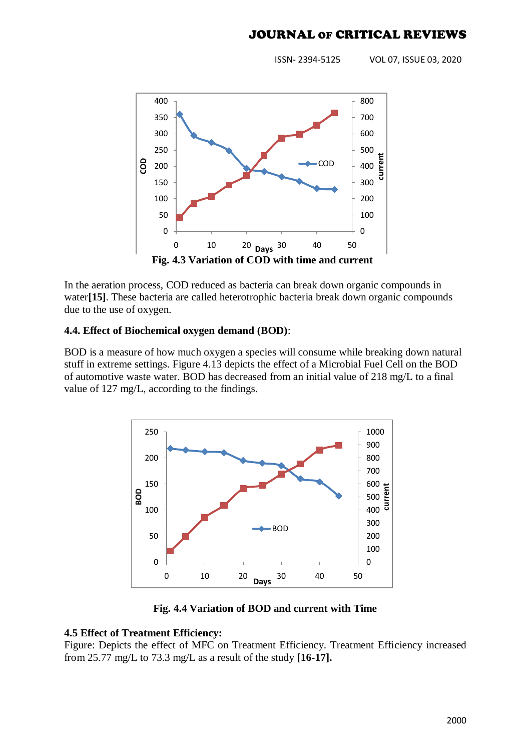ISSN- 2394-5125 VOL 07, ISSUE 03, 2020



In the aeration process, COD reduced as bacteria can break down organic compounds in water**[15]**. These bacteria are called heterotrophic bacteria break down organic compounds due to the use of oxygen.

## **4.4. Effect of Biochemical oxygen demand (BOD)**:

BOD is a measure of how much oxygen a species will consume while breaking down natural stuff in extreme settings. Figure 4.13 depicts the effect of a Microbial Fuel Cell on the BOD of automotive waste water. BOD has decreased from an initial value of 218 mg/L to a final value of 127 mg/L, according to the findings.



**Fig. 4.4 Variation of BOD and current with Time**

## **4.5 Effect of Treatment Efficiency:**

Figure: Depicts the effect of MFC on Treatment Efficiency. Treatment Efficiency increased from 25.77 mg/L to 73.3 mg/L as a result of the study **[16-17].**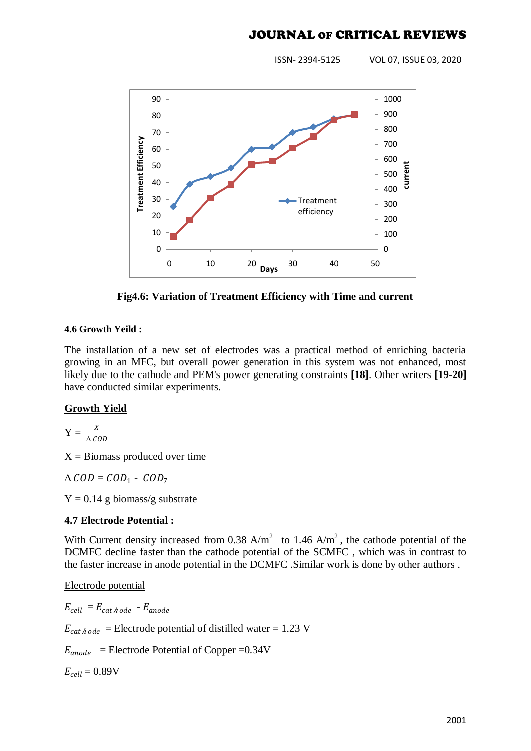ISSN- 2394-5125 VOL 07, ISSUE 03, 2020



**Fig4.6: Variation of Treatment Efficiency with Time and current**

#### **4.6 Growth Yeild :**

The installation of a new set of electrodes was a practical method of enriching bacteria growing in an MFC, but overall power generation in this system was not enhanced, most likely due to the cathode and PEM's power generating constraints **[18]**. Other writers **[19-20]** have conducted similar experiments.

## **Growth Yield**

$$
Y = \frac{X}{\Delta \text{ COD}}
$$

 $X = Biomass$  produced over time

 $\triangle COD = COD_1 - COD_7$ 

 $Y = 0.14$  g biomass/g substrate

## **4.7 Electrode Potential :**

With Current density increased from 0.38  $A/m^2$  to 1.46  $A/m^2$ , the cathode potential of the DCMFC decline faster than the cathode potential of the SCMFC , which was in contrast to the faster increase in anode potential in the DCMFC .Similar work is done by other authors .

Electrode potential

 $E_{cell} = E_{cat \; h \; ode} - E_{anode}$ 

 $E_{cat \text{*} node}$  = Electrode potential of distilled water = 1.23 V

 $E_{anode}$  = Electrode Potential of Copper =0.34V

 $E_{cell} = 0.89V$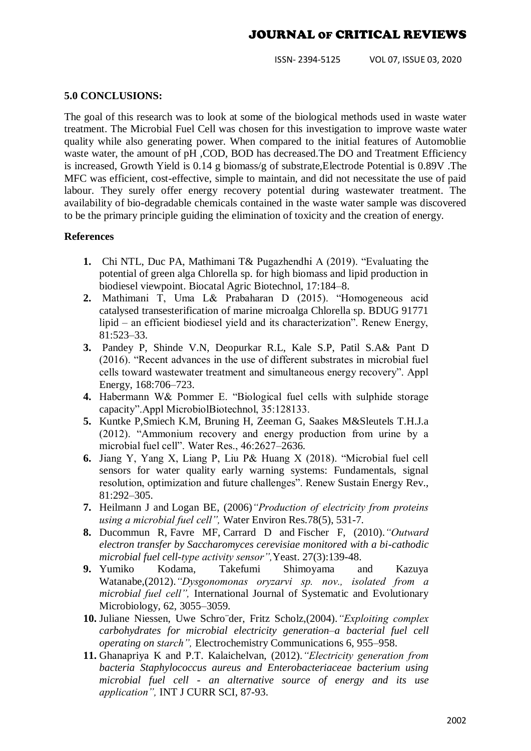ISSN- 2394-5125 VOL 07, ISSUE 03, 2020

#### **5.0 CONCLUSIONS:**

The goal of this research was to look at some of the biological methods used in waste water treatment. The Microbial Fuel Cell was chosen for this investigation to improve waste water quality while also generating power. When compared to the initial features of Automoblie waste water, the amount of pH ,COD, BOD has decreased.The DO and Treatment Efficiency is increased, Growth Yield is 0.14 g biomass/g of substrate,Electrode Potential is 0.89V .The MFC was efficient, cost-effective, simple to maintain, and did not necessitate the use of paid labour. They surely offer energy recovery potential during wastewater treatment. The availability of bio-degradable chemicals contained in the waste water sample was discovered to be the primary principle guiding the elimination of toxicity and the creation of energy.

#### **References**

- **1.** Chi NTL, Duc PA, Mathimani T& Pugazhendhi A (2019). "Evaluating the potential of green alga Chlorella sp. for high biomass and lipid production in biodiesel viewpoint. Biocatal Agric Biotechnol, 17:184–8.
- **2.** Mathimani T, Uma L& Prabaharan D (2015). "Homogeneous acid catalysed transesterification of marine microalga Chlorella sp. BDUG 91771 lipid – an efficient biodiesel yield and its characterization". Renew Energy, 81:523–33.
- **3.** Pandey P, Shinde V.N, Deopurkar R.L, Kale S.P, Patil S.A& Pant D (2016). "Recent advances in the use of different substrates in microbial fuel cells toward wastewater treatment and simultaneous energy recovery". Appl Energy, 168:706–723.
- **4.** Habermann W& Pommer E. "Biological fuel cells with sulphide storage capacity".Appl MicrobiolBiotechnol, 35:128133.
- **5.** Kuntke P,Smiech K.M, Bruning H, Zeeman G, Saakes M&Sleutels T.H.J.a (2012). "Ammonium recovery and energy production from urine by a microbial fuel cell". Water Res., 46:2627–2636.
- **6.** Jiang Y, Yang X, Liang P, Liu P& Huang X (2018). "Microbial fuel cell sensors for water quality early warning systems: Fundamentals, signal resolution, optimization and future challenges". Renew Sustain Energy Rev., 81:292–305.
- **7.** Heilmann J and [Logan BE,](http://www.ncbi.nlm.nih.gov/pubmed/?term=Logan%20BE%5BAuthor%5D&cauthor=true&cauthor_uid=16752614) (2006)*"Production of electricity from proteins using a microbial fuel cell",* [Water Environ Res.7](http://www.ncbi.nlm.nih.gov/pubmed/16752614)8(5), 531-7.
- **8.** [Ducommun R,](http://www.ncbi.nlm.nih.gov/pubmed/?term=Ducommun%20R%5BAuthor%5D&cauthor=true&cauthor_uid=19946948) [Favre MF,](http://www.ncbi.nlm.nih.gov/pubmed/?term=Favre%20MF%5BAuthor%5D&cauthor=true&cauthor_uid=19946948) [Carrard D](http://www.ncbi.nlm.nih.gov/pubmed/?term=Carrard%20D%5BAuthor%5D&cauthor=true&cauthor_uid=19946948) and [Fischer F,](http://www.ncbi.nlm.nih.gov/pubmed/?term=Fischer%20F%5BAuthor%5D&cauthor=true&cauthor_uid=19946948) (2010).*"Outward electron transfer by Saccharomyces cerevisiae monitored with a bi-cathodic microbial fuel cell-type activity sensor",*[Yeast.](http://www.ncbi.nlm.nih.gov/pubmed/19946948) 27(3):139-48.
- **9.** Yumiko Kodama, Takefumi Shimoyama and Kazuya Watanabe,(2012).*"Dysgonomonas oryzarvi sp. nov., isolated from a microbial fuel cell",* International Journal of Systematic and Evolutionary Microbiology, 62, 3055–3059.
- **10.** Juliane Niessen, Uwe Schro¨der, Fritz Scholz,(2004).*"Exploiting complex carbohydrates for microbial electricity generation–a bacterial fuel cell operating on starch",* Electrochemistry Communications 6, 955–958.
- **11.** Ghanapriya K and P.T. Kalaichelvan, (2012).*"Electricity generation from bacteria Staphylococcus aureus and Enterobacteriaceae bacterium using microbial fuel cell - an alternative source of energy and its use application",* INT J CURR SCI, 87-93.